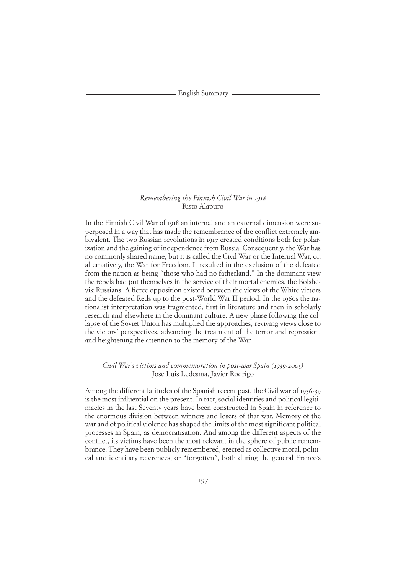English Summary

# *Remembering the Finnish Civil War in* 1918 Risto Alapuro

In the Finnish Civil War of 1918 an internal and an external dimension were superposed in a way that has made the remembrance of the conflict extremely ambivalent. The two Russian revolutions in 1917 created conditions both for polarization and the gaining of independence from Russia. Consequently, the War has no commonly shared name, but it is called the Civil War or the Internal War, or, alternatively, the War for Freedom. It resulted in the exclusion of the defeated from the nation as being "those who had no fatherland." In the dominant view the rebels had put themselves in the service of their mortal enemies, the Bolshevik Russians. A fierce opposition existed between the views of the White victors and the defeated Reds up to the post-World War II period. In the 1960s the nationalist interpretation was fragmented, first in literature and then in scholarly research and elsewhere in the dominant culture. A new phase following the collapse of the Soviet Union has multiplied the approaches, reviving views close to the victors' perspectives, advancing the treatment of the terror and repression, and heightening the attention to the memory of the War.

## *Civil War's victims and commemoration in post-war Spain (*1939*-*2005*)* Jose Luis Ledesma, Javier Rodrigo

Among the different latitudes of the Spanish recent past, the Civil war of 1936-39 is the most influential on the present. In fact, social identities and political legitimacies in the last Seventy years have been constructed in Spain in reference to the enormous division between winners and losers of that war. Memory of the war and of political violence has shaped the limits of the most significant political processes in Spain, as democratisation. And among the different aspects of the conflict, its victims have been the most relevant in the sphere of public remembrance. They have been publicly remembered, erected as collective moral, political and identitary references, or "forgotten", both during the general Franco's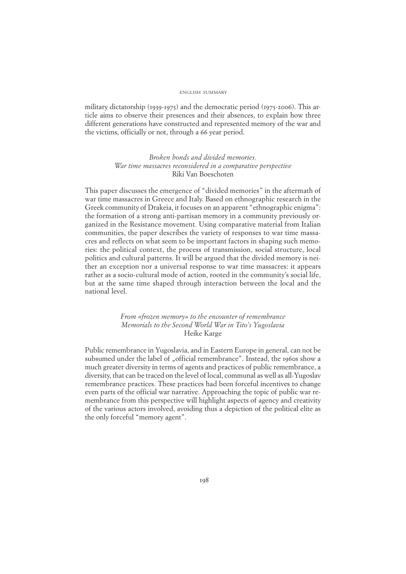#### ENGLISH SUMMARY

military dictatorship (1939-1975) and the democratic period (1975-2006). This article aims to observe their presences and their absences, to explain how three different generations have constructed and represented memory of the war and the victims, officially or not, through a 66 year period.

> *Broken bonds and divided memories. War time massacres reconsidered in a comparative perspective* Riki Van Boeschoten

This paper discusses the emergence of "divided memories" in the aftermath of war time massacres in Greece and Italy. Based on ethnographic research in the Greek community of Drakeia, it focuses on an apparent "ethnographic enigma": the formation of a strong anti-partisan memory in a community previously organized in the Resistance movement. Using comparative material from Italian communities, the paper describes the variety of responses to war time massacres and reflects on what seem to be important factors in shaping such memories: the political context, the process of transmission, social structure, local politics and cultural patterns. It will be argued that the divided memory is neither an exception nor a universal response to war time massacres: it appears rather as a socio-cultural mode of action, rooted in the community's social life, but at the same time shaped through interaction between the local and the national level.

# *From «frozen memory» to the encounter of remembrance Memorials to the Second World War in Tito's Yugoslavia* Heike Karge

Public remembrance in Yugoslavia, and in Eastern Europe in general, can not be subsumed under the label of "official remembrance". Instead, the 1960s show a much greater diversity in terms of agents and practices of public remembrance, a diversity, that can be traced on the level of local, communal as well as all-Yugoslav remembrance practices. These practices had been forceful incentives to change even parts of the official war narrative. Approaching the topic of public war remembrance from this perspective will highlight aspects of agency and creativity of the various actors involved, avoiding thus a depiction of the political elite as the only forceful "memory agent".